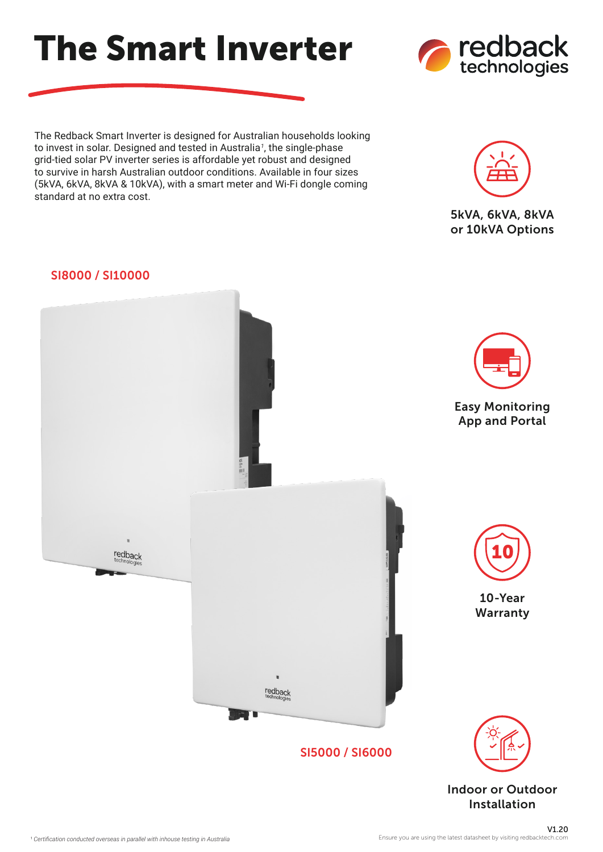The Redback Smart Inverter is designed for Australian households looking to invest in solar. Designed and tested in Australia<sup>1</sup>, the single-phase grid-tied solar PV inverter series is affordable yet robust and designed to survive in harsh Australian outdoor conditions. Available in four sizes (5kVA, 6kVA, 8kVA & 10kVA), with a smart meter and Wi-Fi dongle coming standard at no extra cost.

The Smart Inverter

## SI8000 / SI10000



Installation